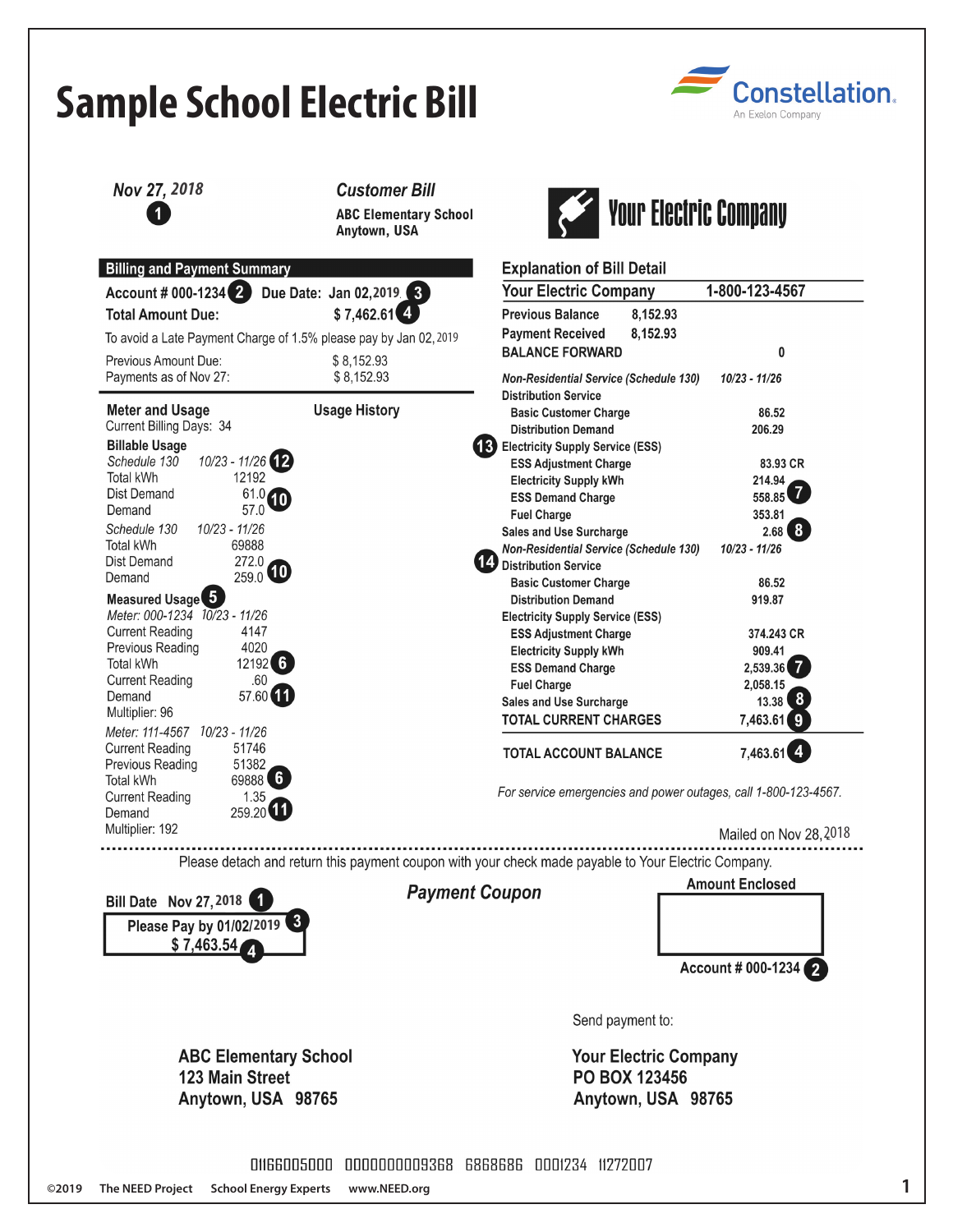| Nov 27, 2018                                                                        | <b>Customer Bill</b><br><b>ABC Elementary School</b><br>Anytown, USA |                                                                                                     | <b>Your Electric Company</b> |
|-------------------------------------------------------------------------------------|----------------------------------------------------------------------|-----------------------------------------------------------------------------------------------------|------------------------------|
|                                                                                     |                                                                      | <b>Explanation of Bill Detail</b>                                                                   |                              |
| <b>Billing and Payment Summary</b><br>Account # 000-1234                            | Due Date: Jan 02, 2019 3                                             | <b>Your Electric Company</b>                                                                        | 1-800-123-4567               |
| <b>Total Amount Due:</b>                                                            | $$7,462.61$ <sup>4</sup>                                             | <b>Previous Balance</b><br>8,152.93                                                                 |                              |
|                                                                                     | To avoid a Late Payment Charge of 1.5% please pay by Jan 02, 2019    | <b>Payment Received</b><br>8,152.93                                                                 |                              |
| Previous Amount Due:                                                                | \$8,152.93                                                           | <b>BALANCE FORWARD</b>                                                                              | 0                            |
| Payments as of Nov 27:                                                              | \$8,152.93                                                           | <b>Non-Residential Service (Schedule 130)</b><br><b>Distribution Service</b>                        | 10/23 - 11/26                |
| <b>Meter and Usage</b>                                                              | <b>Usage History</b>                                                 | <b>Basic Customer Charge</b>                                                                        | 86.52                        |
| Current Billing Days: 34                                                            |                                                                      | <b>Distribution Demand</b>                                                                          | 206.29                       |
| <b>Billable Usage</b><br>10/23 - 11/26 (12)<br>Schedule 130                         |                                                                      | <b>Electricity Supply Service (ESS)</b><br>(13)                                                     |                              |
| Total kWh<br>12192                                                                  |                                                                      | <b>ESS Adjustment Charge</b><br><b>Electricity Supply kWh</b>                                       | 83.93 CR<br>214.94           |
| <b>Dist Demand</b><br>61.0<br>10                                                    |                                                                      | <b>ESS Demand Charge</b>                                                                            | 558.85                       |
| 57.0<br>Demand                                                                      |                                                                      | <b>Fuel Charge</b>                                                                                  | 353.81                       |
| 10/23 - 11/26<br>Schedule 130<br><b>Total kWh</b><br>69888                          |                                                                      | <b>Sales and Use Surcharge</b>                                                                      | $2.68$ $8$                   |
| 272.0<br><b>Dist Demand</b>                                                         |                                                                      | <b>Non-Residential Service (Schedule 130)</b><br>Distribution Service                               | $10/23 - 11/26$              |
| $259.0$ <b>10</b><br>Demand                                                         |                                                                      | <b>Basic Customer Charge</b>                                                                        | 86.52                        |
| Measured Usage 5                                                                    |                                                                      | <b>Distribution Demand</b>                                                                          | 919.87                       |
| Meter: 000-1234 10/23 - 11/26<br><b>Current Reading</b><br>4147                     |                                                                      | <b>Electricity Supply Service (ESS)</b>                                                             |                              |
| 4020<br>Previous Reading                                                            |                                                                      | <b>ESS Adjustment Charge</b><br><b>Electricity Supply kWh</b>                                       | 374.243 CR<br>909.41         |
| $12192$ 6<br><b>Total kWh</b>                                                       |                                                                      | <b>ESS Demand Charge</b>                                                                            | 2,539.36<br>7                |
| .60<br><b>Current Reading</b>                                                       |                                                                      | <b>Fuel Charge</b>                                                                                  | 2,058.15                     |
| 57.60<br>Demand<br>Multiplier: 96                                                   |                                                                      | <b>Sales and Use Surcharge</b>                                                                      | 13.38 8                      |
| Meter: 111-4567  10/23 - 11/26                                                      |                                                                      | <b>TOTAL CURRENT CHARGES</b>                                                                        | 7,463.61                     |
| <b>Current Reading</b><br>51746                                                     |                                                                      | <b>TOTAL ACCOUNT BALANCE</b>                                                                        | $7,463.61$ <sup>4</sup>      |
| Previous Reading<br>51382<br>69888 6<br>Total kWh<br>1.35<br><b>Current Reading</b> |                                                                      | For service emergencies and power outages, call 1-800-123-4567.                                     |                              |
| $259.20$ $11$<br>Demand<br>Multiplier: 192                                          |                                                                      |                                                                                                     | Mailed on Nov 28, 2018       |
|                                                                                     |                                                                      | Please detach and return this payment coupon with your check made payable to Your Electric Company. |                              |
| <b>Payment Coupon</b><br>Bill Date Nov 27, 2018 1                                   |                                                                      |                                                                                                     | <b>Amount Enclosed</b>       |
|                                                                                     |                                                                      |                                                                                                     |                              |
| Please Pay by 01/02/2019 3                                                          |                                                                      |                                                                                                     |                              |
| \$7,463.54                                                                          |                                                                      |                                                                                                     |                              |
|                                                                                     |                                                                      |                                                                                                     | Account # 000-1234           |
|                                                                                     |                                                                      |                                                                                                     |                              |
|                                                                                     |                                                                      | Send payment to:                                                                                    |                              |
| <b>ABC Elementary School</b>                                                        |                                                                      | <b>Your Electric Company</b>                                                                        |                              |
| <b>123 Main Street</b>                                                              |                                                                      | <b>PO BOX 123456</b>                                                                                |                              |
| Anytown, USA 98765                                                                  |                                                                      | Anytown, USA 98765                                                                                  |                              |